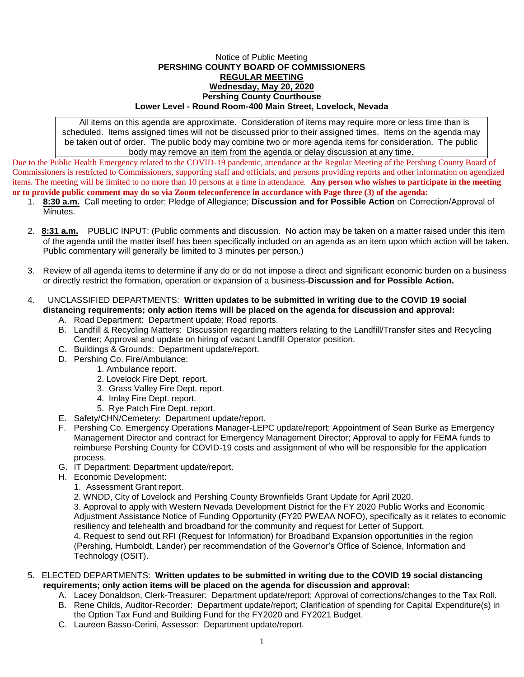## Notice of Public Meeting **PERSHING COUNTY BOARD OF COMMISSIONERS REGULAR MEETING Wednesday, May 20, 2020 Pershing County Courthouse Lower Level - Round Room-400 Main Street, Lovelock, Nevada**

All items on this agenda are approximate. Consideration of items may require more or less time than is scheduled. Items assigned times will not be discussed prior to their assigned times. Items on the agenda may be taken out of order. The public body may combine two or more agenda items for consideration. The public body may remove an item from the agenda or delay discussion at any time.

Due to the Public Health Emergency related to the COVID-19 pandemic, attendance at the Regular Meeting of the Pershing County Board of Commissioners is restricted to Commissioners, supporting staff and officials, and persons providing reports and other information on agendized items. The meeting will be limited to no more than 10 persons at a time in attendance. **Any person who wishes to participate in the meeting or to provide public comment may do so via Zoom teleconference in accordance with Page three (3) of the agenda:** 

- 1. **8:30 a.m.** Call meeting to order; Pledge of Allegiance; **Discussion and for Possible Action** on Correction/Approval of Minutes.
- 2. **8:31 a.m.** PUBLIC INPUT: (Public comments and discussion. No action may be taken on a matter raised under this item of the agenda until the matter itself has been specifically included on an agenda as an item upon which action will be taken. Public commentary will generally be limited to 3 minutes per person.)
- 3. Review of all agenda items to determine if any do or do not impose a direct and significant economic burden on a business or directly restrict the formation, operation or expansion of a business-**Discussion and for Possible Action.**
- 4. UNCLASSIFIED DEPARTMENTS: **Written updates to be submitted in writing due to the COVID 19 social distancing requirements; only action items will be placed on the agenda for discussion and approval:**
	- A. Road Department: Department update; Road reports.
	- B. Landfill & Recycling Matters: Discussion regarding matters relating to the Landfill/Transfer sites and Recycling Center; Approval and update on hiring of vacant Landfill Operator position.
	- C. Buildings & Grounds: Department update/report.
	- D. Pershing Co. Fire/Ambulance:
		- 1. Ambulance report.
		- 2. Lovelock Fire Dept. report.
		- 3. Grass Valley Fire Dept. report.
		- 4. Imlay Fire Dept. report.
		- 5. Rye Patch Fire Dept. report.
	- E. Safety/CHN/Cemetery: Department update/report.
	- F. Pershing Co. Emergency Operations Manager-LEPC update/report; Appointment of Sean Burke as Emergency Management Director and contract for Emergency Management Director; Approval to apply for FEMA funds to reimburse Pershing County for COVID-19 costs and assignment of who will be responsible for the application process.
	- G. IT Department: Department update/report.
	- H. Economic Development:
		- 1. Assessment Grant report.
		- 2. WNDD, City of Lovelock and Pershing County Brownfields Grant Update for April 2020.

3. Approval to apply with Western Nevada Development District for the FY 2020 Public Works and Economic Adjustment Assistance Notice of Funding Opportunity (FY20 PWEAA NOFO), specifically as it relates to economic resiliency and telehealth and broadband for the community and request for Letter of Support. 4. Request to send out RFI (Request for Information) for Broadband Expansion opportunities in the region (Pershing, Humboldt, Lander) per recommendation of the Governor's Office of Science, Information and Technology (OSIT).

## 5. ELECTED DEPARTMENTS: **Written updates to be submitted in writing due to the COVID 19 social distancing requirements; only action items will be placed on the agenda for discussion and approval:**

- A. Lacey Donaldson, Clerk-Treasurer: Department update/report; Approval of corrections/changes to the Tax Roll.
- B. Rene Childs, Auditor-Recorder: Department update/report; Clarification of spending for Capital Expenditure(s) in the Option Tax Fund and Building Fund for the FY2020 and FY2021 Budget.
- C. Laureen Basso-Cerini, Assessor: Department update/report.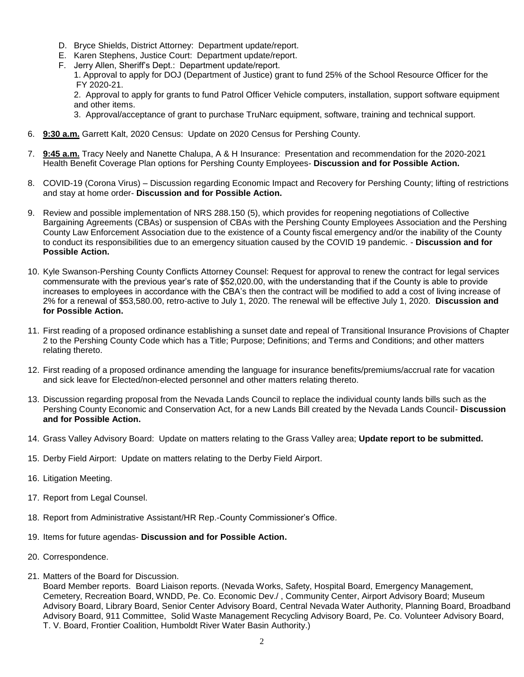- D. Bryce Shields, District Attorney: Department update/report.
- E. Karen Stephens, Justice Court: Department update/report.
- F. Jerry Allen, Sheriff's Dept.: Department update/report.

1. Approval to apply for DOJ (Department of Justice) grant to fund 25% of the School Resource Officer for the FY 2020-21.

2. Approval to apply for grants to fund Patrol Officer Vehicle computers, installation, support software equipment and other items.

3. Approval/acceptance of grant to purchase TruNarc equipment, software, training and technical support.

- 6. **9:30 a.m.** Garrett Kalt, 2020 Census: Update on 2020 Census for Pershing County.
- 7. **9:45 a.m.** Tracy Neely and Nanette Chalupa, A & H Insurance: Presentation and recommendation for the 2020-2021 Health Benefit Coverage Plan options for Pershing County Employees- **Discussion and for Possible Action.**
- 8. COVID-19 (Corona Virus) Discussion regarding Economic Impact and Recovery for Pershing County; lifting of restrictions and stay at home order- **Discussion and for Possible Action.**
- 9. Review and possible implementation of NRS 288.150 (5), which provides for reopening negotiations of Collective Bargaining Agreements (CBAs) or suspension of CBAs with the Pershing County Employees Association and the Pershing County Law Enforcement Association due to the existence of a County fiscal emergency and/or the inability of the County to conduct its responsibilities due to an emergency situation caused by the COVID 19 pandemic. - **Discussion and for Possible Action.**
- 10. Kyle Swanson-Pershing County Conflicts Attorney Counsel: Request for approval to renew the contract for legal services commensurate with the previous year's rate of \$52,020.00, with the understanding that if the County is able to provide increases to employees in accordance with the CBA's then the contract will be modified to add a cost of living increase of 2% for a renewal of \$53,580.00, retro-active to July 1, 2020. The renewal will be effective July 1, 2020. **Discussion and for Possible Action.**
- 11. First reading of a proposed ordinance establishing a sunset date and repeal of Transitional Insurance Provisions of Chapter 2 to the Pershing County Code which has a Title; Purpose; Definitions; and Terms and Conditions; and other matters relating thereto.
- 12. First reading of a proposed ordinance amending the language for insurance benefits/premiums/accrual rate for vacation and sick leave for Elected/non-elected personnel and other matters relating thereto.
- 13. Discussion regarding proposal from the Nevada Lands Council to replace the individual county lands bills such as the Pershing County Economic and Conservation Act, for a new Lands Bill created by the Nevada Lands Council- **Discussion and for Possible Action.**
- 14. Grass Valley Advisory Board: Update on matters relating to the Grass Valley area; **Update report to be submitted.**
- 15. Derby Field Airport: Update on matters relating to the Derby Field Airport.
- 16. Litigation Meeting.
- 17. Report from Legal Counsel.
- 18. Report from Administrative Assistant/HR Rep.-County Commissioner's Office.
- 19. Items for future agendas- **Discussion and for Possible Action.**
- 20. Correspondence.
- 21. Matters of the Board for Discussion.

Board Member reports. Board Liaison reports. (Nevada Works, Safety, Hospital Board, Emergency Management, Cemetery, Recreation Board, WNDD, Pe. Co. Economic Dev./ , Community Center, Airport Advisory Board; Museum Advisory Board, Library Board, Senior Center Advisory Board, Central Nevada Water Authority, Planning Board, Broadband Advisory Board, 911 Committee, Solid Waste Management Recycling Advisory Board, Pe. Co. Volunteer Advisory Board, T. V. Board, Frontier Coalition, Humboldt River Water Basin Authority.)